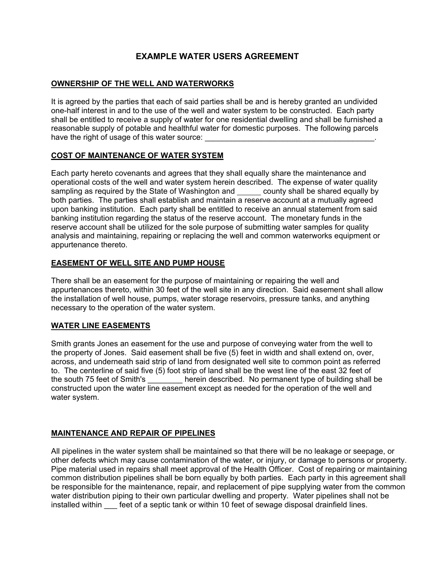# **EXAMPLE WATER USERS AGREEMENT**

# **OWNERSHIP OF THE WELL AND WATERWORKS**

It is agreed by the parties that each of said parties shall be and is hereby granted an undivided one-half interest in and to the use of the well and water system to be constructed. Each party shall be entitled to receive a supply of water for one residential dwelling and shall be furnished a reasonable supply of potable and healthful water for domestic purposes. The following parcels have the right of usage of this water source:

# **COST OF MAINTENANCE OF WATER SYSTEM**

Each party hereto covenants and agrees that they shall equally share the maintenance and operational costs of the well and water system herein described. The expense of water quality sampling as required by the State of Washington and \_\_\_\_\_\_ county shall be shared equally by both parties. The parties shall establish and maintain a reserve account at a mutually agreed upon banking institution. Each party shall be entitled to receive an annual statement from said banking institution regarding the status of the reserve account. The monetary funds in the reserve account shall be utilized for the sole purpose of submitting water samples for quality analysis and maintaining, repairing or replacing the well and common waterworks equipment or appurtenance thereto.

# **EASEMENT OF WELL SITE AND PUMP HOUSE**

There shall be an easement for the purpose of maintaining or repairing the well and appurtenances thereto, within 30 feet of the well site in any direction. Said easement shall allow the installation of well house, pumps, water storage reservoirs, pressure tanks, and anything necessary to the operation of the water system.

### **WATER LINE EASEMENTS**

Smith grants Jones an easement for the use and purpose of conveying water from the well to the property of Jones. Said easement shall be five (5) feet in width and shall extend on, over, across, and underneath said strip of land from designated well site to common point as referred to. The centerline of said five (5) foot strip of land shall be the west line of the east 32 feet of the south 75 feet of Smith's herein described. No permanent type of building shall be constructed upon the water line easement except as needed for the operation of the well and water system.

### **MAINTENANCE AND REPAIR OF PIPELINES**

All pipelines in the water system shall be maintained so that there will be no leakage or seepage, or other defects which may cause contamination of the water, or injury, or damage to persons or property. Pipe material used in repairs shall meet approval of the Health Officer. Cost of repairing or maintaining common distribution pipelines shall be born equally by both parties. Each party in this agreement shall be responsible for the maintenance, repair, and replacement of pipe supplying water from the common water distribution piping to their own particular dwelling and property. Water pipelines shall not be installed within feet of a septic tank or within 10 feet of sewage disposal drainfield lines.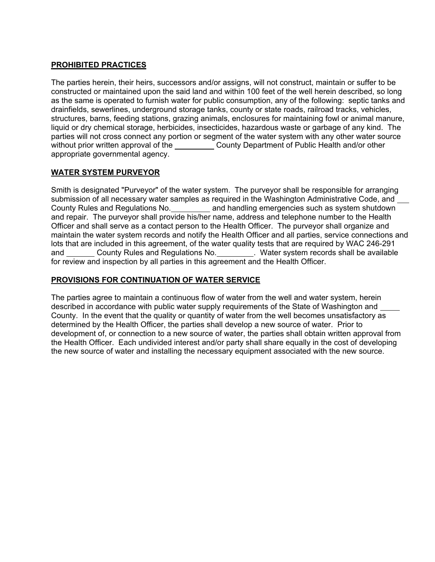### **PROHIBITED PRACTICES**

The parties herein, their heirs, successors and/or assigns, will not construct, maintain or suffer to be constructed or maintained upon the said land and within 100 feet of the well herein described, so long as the same is operated to furnish water for public consumption, any of the following: septic tanks and drainfields, sewerlines, underground storage tanks, county or state roads, railroad tracks, vehicles, structures, barns, feeding stations, grazing animals, enclosures for maintaining fowl or animal manure, liquid or dry chemical storage, herbicides, insecticides, hazardous waste or garbage of any kind. The parties will not cross connect any portion or segment of the water system with any other water source without prior written approval of the County Department of Public Health and/or other appropriate governmental agency.

# **WATER SYSTEM PURVEYOR**

Smith is designated "Purveyor" of the water system. The purveyor shall be responsible for arranging submission of all necessary water samples as required in the Washington Administrative Code, and County Rules and Regulations No. and handling emergencies such as system shutdown and repair. The purveyor shall provide his/her name, address and telephone number to the Health Officer and shall serve as a contact person to the Health Officer. The purveyor shall organize and maintain the water system records and notify the Health Officer and all parties, service connections and lots that are included in this agreement, of the water quality tests that are required by WAC 246-291 and \_\_\_\_\_\_\_ County Rules and Regulations No. \_\_\_\_\_\_\_\_. Water system records shall be available for review and inspection by all parties in this agreement and the Health Officer.

### **PROVISIONS FOR CONTINUATION OF WATER SERVICE**

The parties agree to maintain a continuous flow of water from the well and water system, herein described in accordance with public water supply requirements of the State of Washington and County. In the event that the quality or quantity of water from the well becomes unsatisfactory as determined by the Health Officer, the parties shall develop a new source of water. Prior to development of, or connection to a new source of water, the parties shall obtain written approval from the Health Officer. Each undivided interest and/or party shall share equally in the cost of developing the new source of water and installing the necessary equipment associated with the new source.